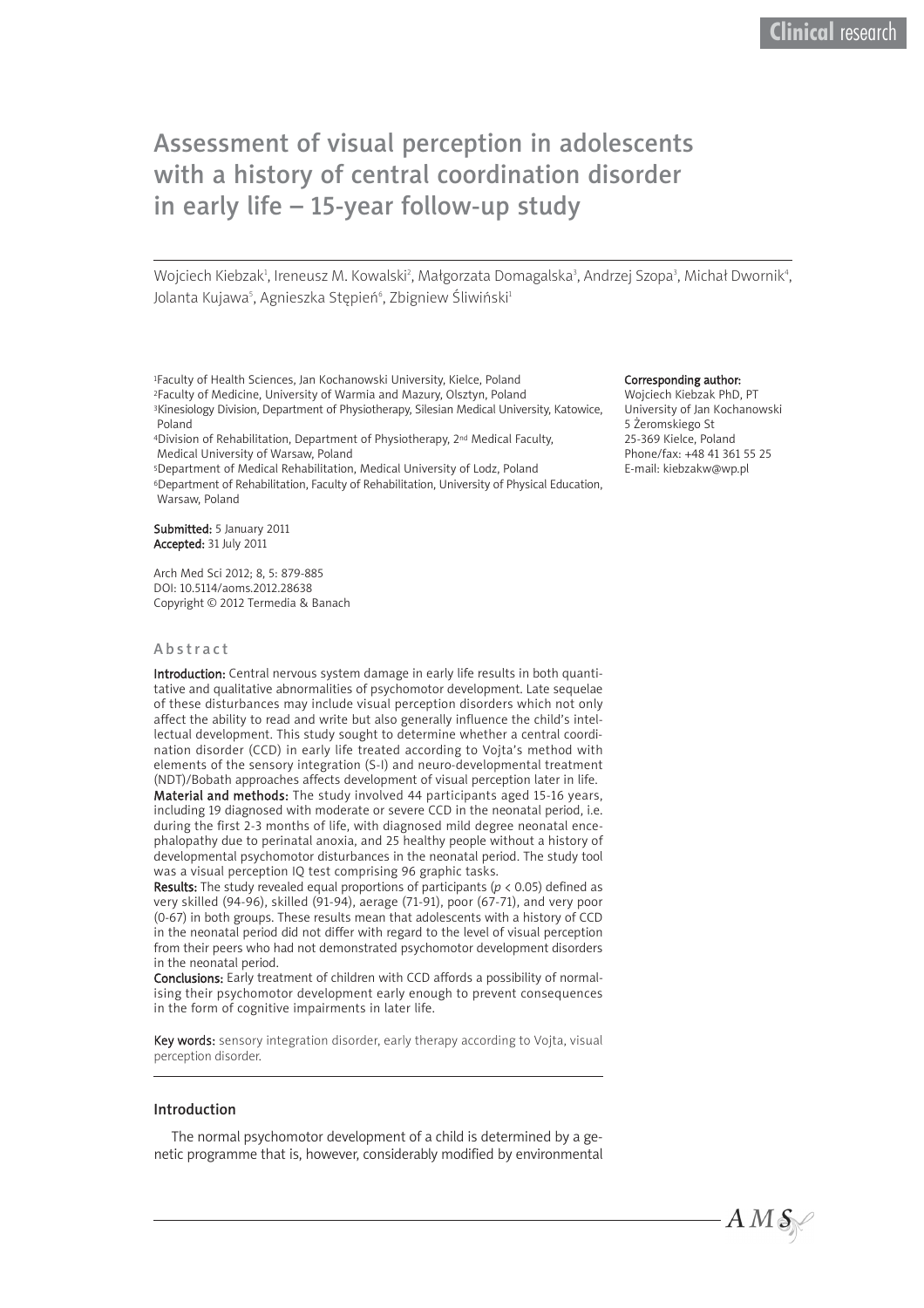# Assessment of visual perception in adolescents with a history of central coordination disorder in early life – 15-year follow-up study

Wojciech Kiebzak<sup>ı</sup>, Ireneusz M. Kowalski<sup>2</sup>, Małgorzata Domagalska<sup>3</sup>, Andrzej Szopa<sup>3</sup>, Michał Dwornik<sup>4</sup>, Jolanta Kujawa<sup>s</sup>, Agnieszka Stępień°, Zbigniew Śliwiński<del>'</del>

1Faculty of Health Sciences, Jan Kochanowski University, Kielce, Poland 2Faculty of Medicine, University of Warmia and Mazury, Olsztyn, Poland <sup>3</sup>Kinesiology Division, Department of Physiotherapy, Silesian Medical University, Katowice, Poland

4Division of Rehabilitation, Department of Physiotherapy, 2<sup>nd</sup> Medical Faculty, Medical University of Warsaw, Poland

5Department of Medical Rehabilitation, Medical University of Lodz, Poland

6Department of Rehabilitation, Faculty of Rehabilitation, University of Physical Education, Warsaw, Poland

Submitted: 5 January 2011 Accepted: 31 July 2011

Arch Med Sci 2012; 8, 5: 879-885 DOI: 10.5114/aoms.2012.28638 Copyright © 2012 Termedia & Banach

### Abstract

Introduction: Central nervous system damage in early life results in both quantitative and qualitative abnormalities of psychomotor development. Late sequelae of these disturbances may include visual perception disorders which not only affect the ability to read and write but also generally influence the child's intellectual development. This study sought to determine whether a central coordination disorder (CCD) in early life treated according to Vojta's method with elements of the sensory integration (S-I) and neuro-developmental treatment (NDT)/Bobath approaches affects development of visual perception later in life.

Material and methods: The study involved 44 participants aged 15-16 years, including 19 diagnosed with moderate or severe CCD in the neonatal period, i.e. during the first 2-3 months of life, with diagnosed mild degree neonatal encephalopathy due to perinatal anoxia, and 25 healthy people without a history of developmental psychomotor disturbances in the neonatal period. The study tool was a visual perception IQ test comprising 96 graphic tasks.

Results: The study revealed equal proportions of participants (*p* < 0.05) defined as very skilled (94-96), skilled (91-94), aerage (71-91), poor (67-71), and very poor (0-67) in both groups. These results mean that adolescents with a history of CCD in the neonatal period did not differ with regard to the level of visual perception from their peers who had not demonstrated psychomotor development disorders in the neonatal period.

Conclusions: Early treatment of children with CCD affords a possibility of normalising their psychomotor development early enough to prevent consequences in the form of cognitive impairments in later life.

Key words: sensory integration disorder, early therapy according to Vojta, visual perception disorder.

#### Introduction

The normal psychomotor development of a child is determined by a genetic programme that is, however, considerably modified by environmental

#### Corresponding author:

Wojciech Kiebzak PhD, PT University of Jan Kochanowski 5 Żeromskiego St 25-369 Kielce, Poland Phone/fax: +48 41 361 55 25 E-mail: kiebzakw@wp.pl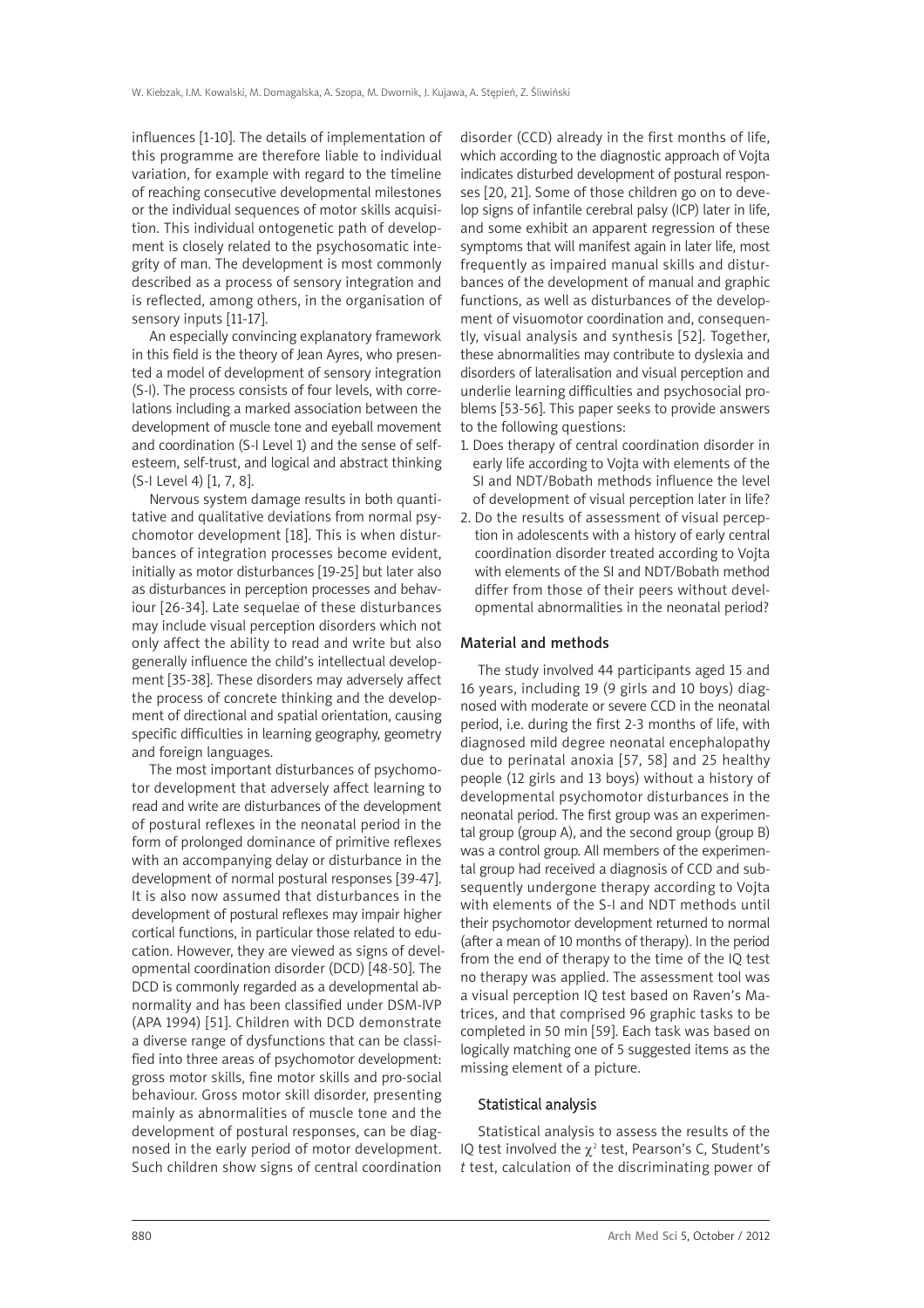influences [1-10]. The details of implementation of this programme are therefore liable to individual variation, for example with regard to the timeline of reaching consecutive developmental milestones or the individual sequences of motor skills acquisition. This individual ontogenetic path of development is closely related to the psychosomatic integrity of man. The development is most commonly described as a process of sensory integration and is reflected, among others, in the organisation of sensory inputs [11-17].

An especially convincing explanatory framework in this field is the theory of Jean Ayres, who presented a model of development of sensory integration (S-I). The process consists of four levels, with correlations including a marked association between the development of muscle tone and eyeball movement and coordination (S-I Level 1) and the sense of selfesteem, self-trust, and logical and abstract thinking (S-I Level 4) [1, 7, 8].

Nervous system damage results in both quantitative and qualitative deviations from normal psychomotor development [18]. This is when disturbances of integration processes become evident, initially as motor disturbances [19-25] but later also as disturbances in perception processes and behaviour [26-34]. Late sequelae of these disturbances may include visual perception disorders which not only affect the ability to read and write but also generally influence the child's intellectual development [35-38]. These disorders may adversely affect the process of concrete thinking and the development of directional and spatial orientation, causing specific difficulties in learning geography, geometry and foreign languages.

The most important disturbances of psychomotor development that adversely affect learning to read and write are disturbances of the development of postural reflexes in the neonatal period in the form of prolonged dominance of primitive reflexes with an accompanying delay or disturbance in the development of normal postural responses [39-47]. It is also now assumed that disturbances in the development of postural reflexes may impair higher cortical functions, in particular those related to education. However, they are viewed as signs of develop mental coordination disorder (DCD) [48-50]. The DCD is commonly regarded as a developmental abnormality and has been classified under DSM-IVP (APA 1994) [51]. Children with DCD demonstrate a diverse range of dysfunctions that can be classified into three areas of psychomotor development: gross motor skills, fine motor skills and pro-social behaviour. Gross motor skill disorder, presenting mainly as abnormalities of muscle tone and the development of postural responses, can be diagnosed in the early period of motor development. Such children show signs of central coordination

disorder (CCD) already in the first months of life, which according to the diagnostic approach of Vojta indicates disturbed development of postural responses [20, 21]. Some of those children go on to develop signs of infantile cerebral palsy (ICP) later in life, and some exhibit an apparent regression of these symptoms that will manifest again in later life, most frequently as impaired manual skills and disturbances of the development of manual and graphic functions, as well as disturbances of the development of visuomotor coordination and, consequently, visual analysis and synthesis [52]. Together, these abnormalities may contribute to dyslexia and disorders of lateralisation and visual perception and underlie learning difficulties and psychosocial problems [53-56]. This paper seeks to provide answers to the following questions:

- 1. Does therapy of central coordination disorder in early life according to Vojta with elements of the SI and NDT/Bobath methods influence the level of development of visual perception later in life?
- 2. Do the results of assessment of visual perception in adolescents with a history of early central coordination disorder treated according to Vojta with elements of the SI and NDT/Bobath method differ from those of their peers without developmental abnormalities in the neonatal period?

## Material and methods

The study involved 44 participants aged 15 and 16 years, including 19 (9 girls and 10 boys) diagnosed with moderate or severe CCD in the neonatal period, i.e. during the first 2-3 months of life, with diagnosed mild degree neonatal encephalopathy due to perinatal anoxia [57, 58] and 25 healthy people (12 girls and 13 boys) without a history of developmental psychomotor disturbances in the neonatal period. The first group was an experimental group (group A), and the second group (group B) was a control group. All members of the experimental group had received a diagnosis of CCD and subsequently undergone therapy according to Vojta with elements of the S-I and NDT methods until their psychomotor development returned to normal (after a mean of 10 months of therapy). In the period from the end of therapy to the time of the IQ test no therapy was applied. The assessment tool was a visual perception IO test based on Raven's Matrices, and that comprised 96 graphic tasks to be completed in 50 min [59]. Each task was based on logically matching one of 5 suggested items as the missing element of a picture.

# Statistical analysis

Statistical analysis to assess the results of the IQ test involved the  $\gamma^2$  test, Pearson's C, Student's *t* test, calculation of the discriminating power of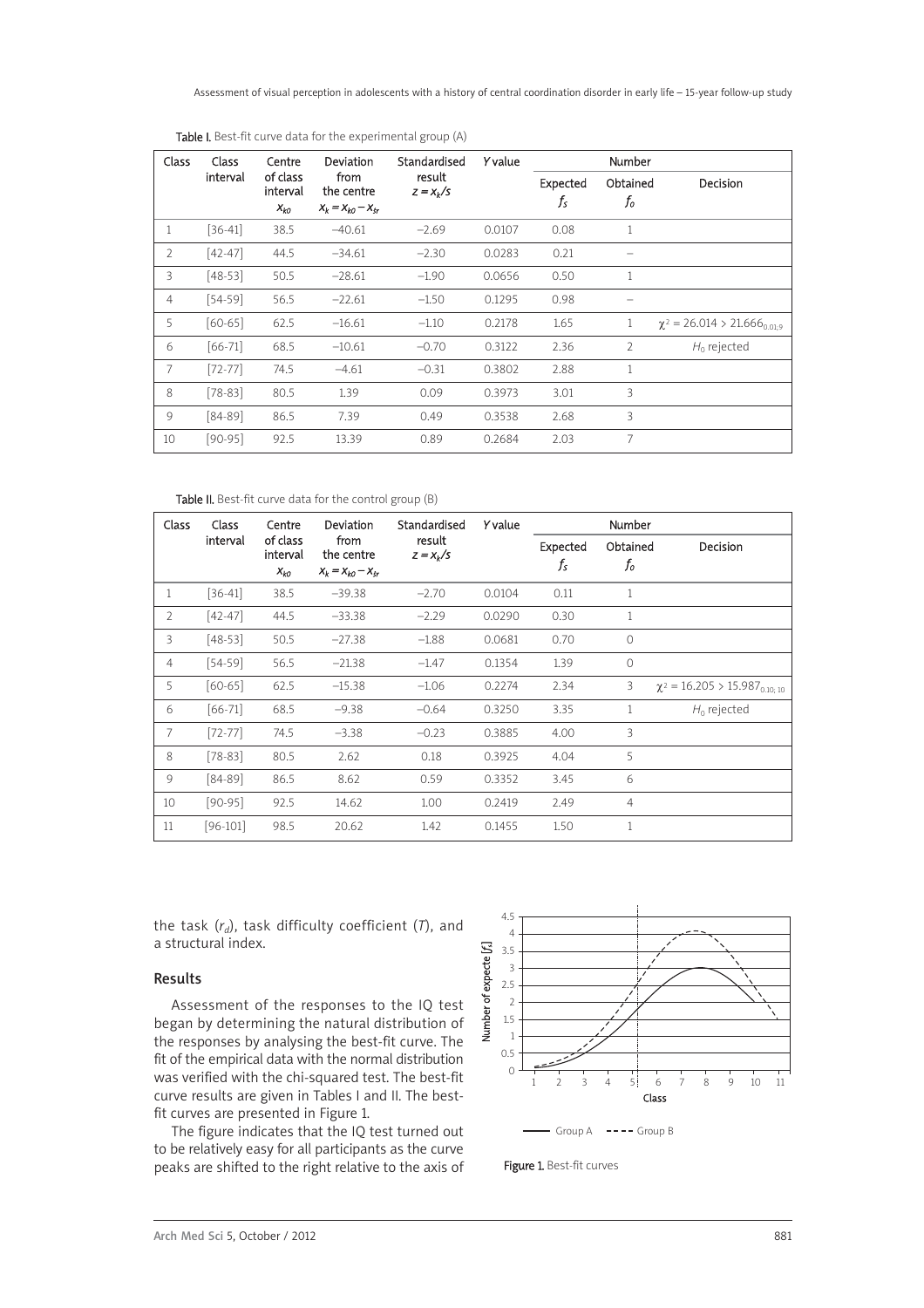| Class          | Class       | Centre                           | Deviation                                     | Standardised            | Yvalue | Number         |                   |                                              |
|----------------|-------------|----------------------------------|-----------------------------------------------|-------------------------|--------|----------------|-------------------|----------------------------------------------|
|                | interval    | of class<br>interval<br>$x_{ko}$ | from<br>the centre<br>$X_k = X_{k0} - X_{sr}$ | result<br>$Z = X_k / S$ |        | Expected<br>fs | Obtained<br>$f_o$ | Decision                                     |
| $\mathbf{1}$   | $[36-41]$   | 38.5                             | $-40.61$                                      | $-2.69$                 | 0.0107 | 0.08           | 1                 |                                              |
| $\overline{2}$ | $[42 - 47]$ | 44.5                             | $-34.61$                                      | $-2.30$                 | 0.0283 | 0.21           |                   |                                              |
| 3              | $[48-53]$   | 50.5                             | $-28.61$                                      | $-1.90$                 | 0.0656 | 0.50           | 1                 |                                              |
| 4              | $[54-59]$   | 56.5                             | $-22.61$                                      | $-1.50$                 | 0.1295 | 0.98           |                   |                                              |
| 5              | $[60-65]$   | 62.5                             | $-16.61$                                      | $-1.10$                 | 0.2178 | 1.65           | $\mathbf{1}$      | $\chi^2$ = 26.014 > 21.666 <sub>0.01.9</sub> |
| 6              | $[66 - 71]$ | 68.5                             | $-10.61$                                      | $-0.70$                 | 0.3122 | 2.36           | 2                 | $H_0$ rejected                               |
| $\overline{7}$ | $[72 - 77]$ | 74.5                             | $-4.61$                                       | $-0.31$                 | 0.3802 | 2.88           | 1                 |                                              |
| 8              | $[78-83]$   | 80.5                             | 1.39                                          | 0.09                    | 0.3973 | 3.01           | 3                 |                                              |
| 9              | $[84-89]$   | 86.5                             | 7.39                                          | 0.49                    | 0.3538 | 2.68           | 3                 |                                              |
| 10             | $[90-95]$   | 92.5                             | 13.39                                         | 0.89                    | 0.2684 | 2.03           | $\overline{7}$    |                                              |

|  |  |  |  |  | Table I. Best-fit curve data for the experimental group (A) |  |
|--|--|--|--|--|-------------------------------------------------------------|--|
|--|--|--|--|--|-------------------------------------------------------------|--|

Table II. Best-fit curve data for the control group (B)

| Class          | Class       | Centre                           | Deviation                                     | Standardised          | Yvalue | Number         |                   |                                       |
|----------------|-------------|----------------------------------|-----------------------------------------------|-----------------------|--------|----------------|-------------------|---------------------------------------|
|                | interval    | of class<br>interval<br>$x_{ko}$ | from<br>the centre<br>$X_k = X_{k0} - X_{sr}$ | result<br>$z = x_k/s$ |        | Expected<br>fs | Obtained<br>$f_o$ | Decision                              |
| $\mathbf{1}$   | $[36 - 41]$ | 38.5                             | $-39.38$                                      | $-2.70$               | 0.0104 | 0.11           | 1                 |                                       |
| $\overline{2}$ | $[42 - 47]$ | 44.5                             | $-33.38$                                      | $-2.29$               | 0.0290 | 0.30           | $\mathbf{1}$      |                                       |
| 3              | $[48-53]$   | 50.5                             | $-27.38$                                      | $-1.88$               | 0.0681 | 0.70           | $\circ$           |                                       |
| 4              | $[54-59]$   | 56.5                             | $-21.38$                                      | $-1.47$               | 0.1354 | 1.39           | $\circ$           |                                       |
| 5              | $[60-65]$   | 62.5                             | $-15.38$                                      | $-1.06$               | 0.2274 | 2.34           | 3                 | $\chi^2 = 16.205 > 15.987_{0.10; 10}$ |
| 6              | $[66 - 71]$ | 68.5                             | $-9.38$                                       | $-0.64$               | 0.3250 | 3.35           |                   | $H_0$ rejected                        |
| $\overline{7}$ | $[72-77]$   | 74.5                             | $-3.38$                                       | $-0.23$               | 0.3885 | 4.00           | 3                 |                                       |
| 8              | $[78-83]$   | 80.5                             | 2.62                                          | 0.18                  | 0.3925 | 4.04           | 5                 |                                       |
| 9              | $[84-89]$   | 86.5                             | 8.62                                          | 0.59                  | 0.3352 | 3.45           | 6                 |                                       |
| 10             | $[90-95]$   | 92.5                             | 14.62                                         | 1.00                  | 0.2419 | 2.49           | $\overline{4}$    |                                       |
| 11             | $[96-101]$  | 98.5                             | 20.62                                         | 1.42                  | 0.1455 | 1.50           | 1                 |                                       |

the task  $(r_d)$ , task difficulty coefficient  $(T)$ , and a structural index.

## Results

Assessment of the responses to the IQ test began by determining the natural distribution of the responses by analysing the best-fit curve. The fit of the empirical data with the normal distribution was verified with the chi-squared test. The best-fit curve results are given in Tables I and II. The bestfit curves are presented in Figure 1.

The figure indicates that the IQ test turned out to be relatively easy for all participants as the curve peaks are shifted to the right relative to the axis of



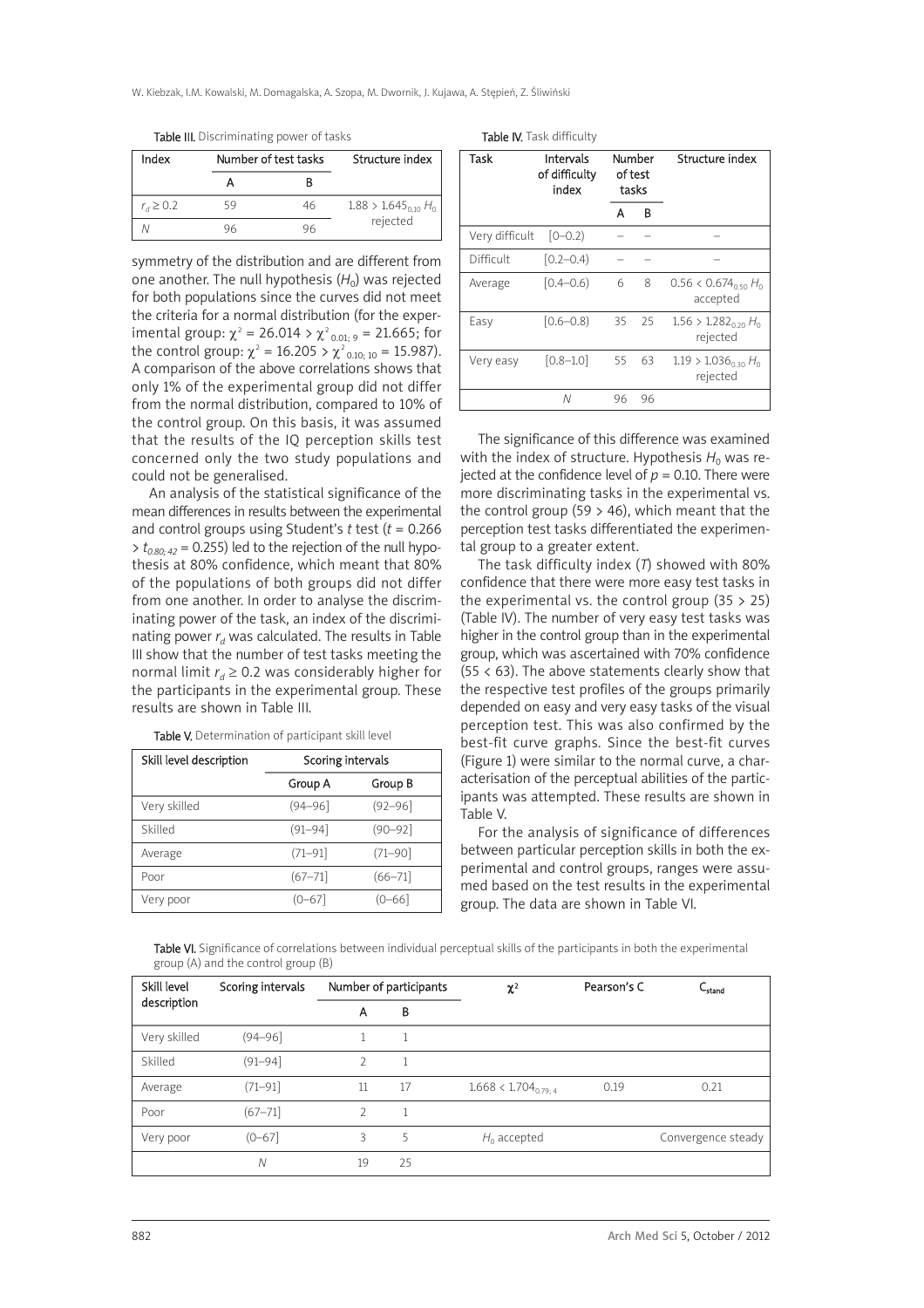Table III. Discriminating power of tasks

| Index          |    | Number of test tasks | Structure index                      |  |
|----------------|----|----------------------|--------------------------------------|--|
|                |    |                      |                                      |  |
| $r_d \geq 0.2$ | 59 | 46                   | $1.88 > 1.645_{0,10}$ H <sub>0</sub> |  |
|                | 96 | 96                   | rejected                             |  |

symmetry of the distribution and are different from one another. The null hypothesis  $(H_0)$  was rejected for both populations since the curves did not meet the criteria for a normal distribution (for the experimental group:  $\chi^2$  = 26.014 >  $\chi^2_{0.01;9}$  = 21.665; for the control group:  $\chi^2 = 16.205 > \chi^2_{0.10; 10} = 15.987$ ). A comparison of the above correlations shows that only 1% of the experimental group did not differ from the normal distribution, compared to 10% of the control group. On this basis, it was assumed that the results of the IQ perception skills test concerned only the two study populations and could not be generalised.

An analysis of the statistical significance of the mean differences in results between the experimental and control groups using Student's *t* test (*t* = 0.266  $> t_{0.80:42} = 0.255$ ) led to the rejection of the null hypothesis at 80% confidence, which meant that 80% of the populations of both groups did not differ from one another. In order to analyse the discriminating power of the task, an index of the discriminating power  $r_d$  was calculated. The results in Table III show that the number of test tasks meeting the normal limit  $r_d \geq 0.2$  was considerably higher for the participants in the experimental group. These re sults are shown in Table III.

Table V. Determination of participant skill level

| Skill level description | Scoring intervals |             |
|-------------------------|-------------------|-------------|
|                         | Group A           | Group B     |
| Very skilled            | $(94 - 96)$       | $(92 - 96)$ |
| Skilled                 | $(91 - 94)$       | $(90 - 92)$ |
| Average                 | $(71 - 91)$       | $(71 - 90)$ |
| Poor                    | $(67 - 71)$       | $(66 - 71)$ |
| Very poor               | $(0 - 67)$        | $(0 - 66)$  |

Table IV. Task difficultv

| Task           | Intervals<br>of difficulty<br>index | Number<br>of test<br>tasks |    | Structure index                                  |
|----------------|-------------------------------------|----------------------------|----|--------------------------------------------------|
|                |                                     | А                          | B  |                                                  |
| Very difficult | $[0 - 0.2]$                         |                            |    |                                                  |
| Difficult      | $[0.2 - 0.4]$                       |                            |    |                                                  |
| Average        | $[0.4 - 0.6]$                       | 6                          | 8  | $0.56 < 0.674_{0.50}$ H <sub>0</sub><br>accepted |
| Easy           | $[0.6 - 0.8]$                       | 35                         | 25 | $1.56 > 1.282_{0.20} H_0$<br>rejected            |
| Very easy      | $[0.8 - 1.0]$                       | 55                         | 63 | $1.19 > 1.036_{0.30}$ H <sub>0</sub><br>rejected |
|                | N                                   | 96                         | 96 |                                                  |

The significance of this difference was examined with the index of structure. Hypothesis  $H_0$  was rejected at the confidence level of  $p = 0.10$ . There were more discriminating tasks in the experimental vs. the control group (59  $>$  46), which meant that the perception test tasks differentiated the experimental group to a greater extent.

The task difficulty index (*T*) showed with 80% confidence that there were more easy test tasks in the experimental vs. the control group  $(35 > 25)$ (Table IV). The number of very easy test tasks was higher in the control group than in the experimental group, which was ascertained with 70% confidence  $(55 < 63)$ . The above statements clearly show that the respective test profiles of the groups primarily depended on easy and very easy tasks of the visual perception test. This was also confirmed by the best-fit curve graphs. Since the best-fit curves (Figure 1) were similar to the normal curve, a characterisation of the perceptual abilities of the participants was attempted. These results are shown in Table V.

For the analysis of significance of differences between particular perception skills in both the experimental and control groups, ranges were assumed based on the test results in the experimental group. The data are shown in Table VI.

Table VI. Significance of correlations between individual perceptual skills of the participants in both the experimental group (A) and the control group (B)

| Skill level  | Scoring intervals | Number of participants |    | $\chi^2$                 | Pearson's C | $\mathsf{C}_{\mathsf{stand}}$ |
|--------------|-------------------|------------------------|----|--------------------------|-------------|-------------------------------|
| description  |                   | A                      | B  |                          |             |                               |
| Very skilled | $(94 - 96)$       |                        |    |                          |             |                               |
| Skilled      | $(91 - 94)$       | $\mathcal{P}$          |    |                          |             |                               |
| Average      | $(71 - 91)$       | 11                     | 17 | $1.668 < 1.704_{0.79:4}$ | 0.19        | 0.21                          |
| Poor         | $(67 - 71)$       | $\mathcal{P}$          |    |                          |             |                               |
| Very poor    | $(0 - 67)$        | 3                      | 5  | $H_0$ accepted           |             | Convergence steady            |
|              | Ν                 | 19                     | 25 |                          |             |                               |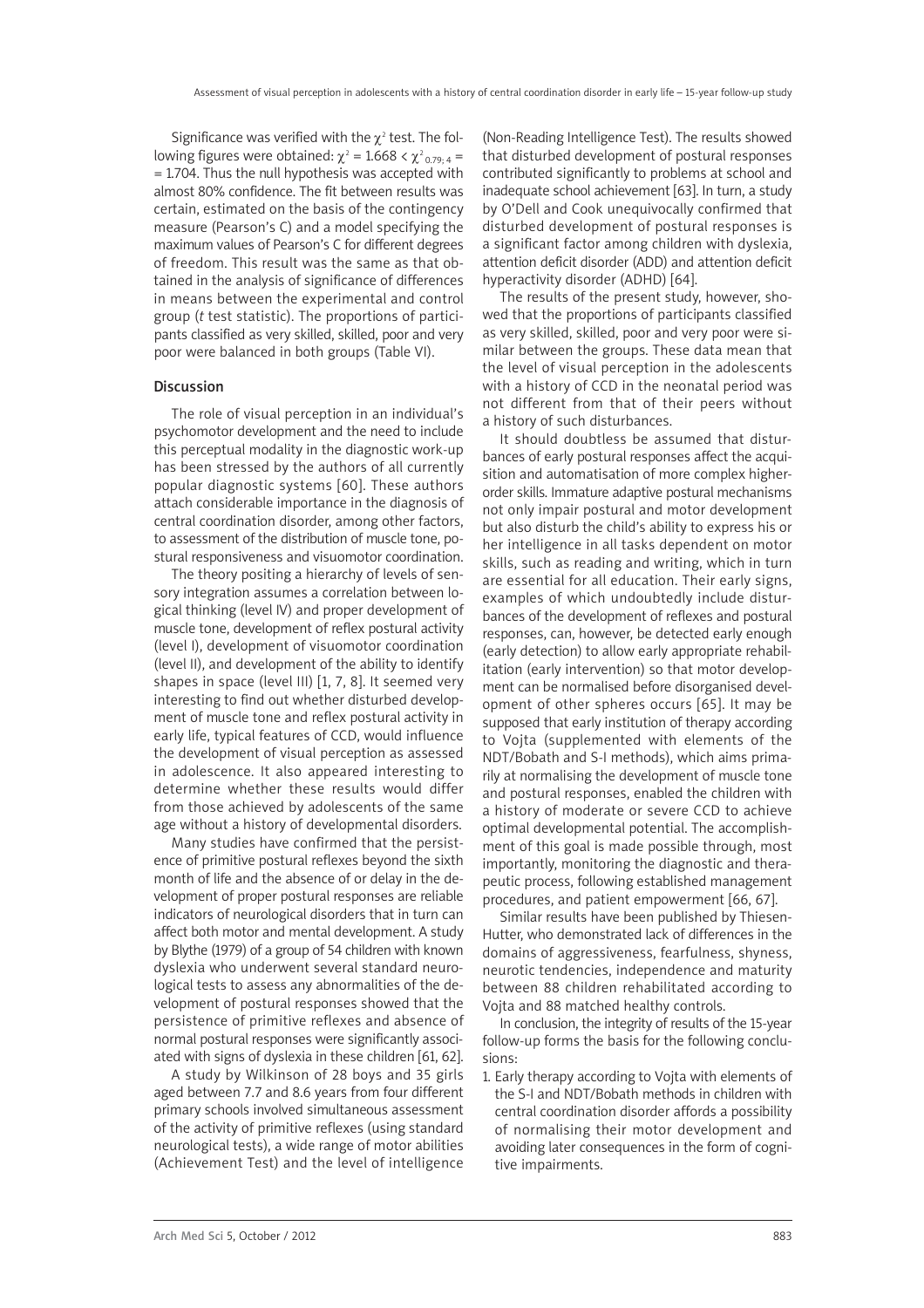Significance was verified with the  $\chi^2$  test. The following figures were obtained:  $\chi^2 = 1.668 < \chi^2_{0.79; 4} =$ = 1.704. Thus the null hypothesis was accepted with almost 80% confidence. The fit between results was certain, estimated on the basis of the contingency measure (Pearson's C) and a model specifying the maximum values of Pearson's C for different degrees of freedom. This result was the same as that obtained in the analysis of significance of differences in means between the experimental and control group (*t* test statistic). The proportions of participants classified as very skilled, skilled, poor and very poor were balanced in both groups (Table VI).

#### **Discussion**

The role of visual perception in an individual's psychomotor development and the need to include this perceptual modality in the diagnostic work-up has been stressed by the authors of all currently popular diagnostic systems [60]. These authors attach considerable importance in the diagnosis of central coordination disorder, among other factors, to assessment of the distribution of muscle tone, postural responsiveness and visuomotor coordination.

The theory positing a hierarchy of levels of sensory integration assumes a correlation between logical thinking (level IV) and proper development of muscle tone, development of reflex postural activity (level I), development of visuomotor coordination (level II), and development of the ability to identify shapes in space (level III) [1, 7, 8]. It seemed very interesting to find out whether disturbed development of muscle tone and reflex postural activity in early life, typical features of CCD, would influence the development of visual perception as assessed in adolescence. It also appeared interesting to determine whether these results would differ from those achieved by adolescents of the same age without a history of developmental disorders.

Many studies have confirmed that the persistence of primitive postural reflexes beyond the sixth month of life and the absence of or delay in the development of proper postural responses are reliable indicators of neurological disorders that in turn can affect both motor and mental development. A study by Blythe (1979) of a group of 54 children with known dyslexia who underwent several standard neurological tests to assess any abnormalities of the development of postural responses showed that the persistence of primitive reflexes and absence of normal postural responses were significantly associated with signs of dyslexia in these children [61, 62].

A study by Wilkinson of 28 boys and 35 girls aged between 7.7 and 8.6 years from four different primary schools involved simultaneous assessment of the activity of primitive reflexes (using standard neurological tests), a wide range of motor abilities (Achievement Test) and the level of intelligence

(Non-Reading Intelligence Test). The results showed that disturbed development of postural responses contributed significantly to problems at school and inadequate school achievement [63]. In turn, a study by O'Dell and Cook unequivocally confirmed that disturbed development of postural responses is a significant factor among children with dyslexia, attention deficit disorder (ADD) and attention deficit hyperactivity disorder (ADHD) [64].

The results of the present study, however, showed that the proportions of participants classified as very skilled, skilled, poor and very poor were similar between the groups. These data mean that the level of visual perception in the adolescents with a history of CCD in the neonatal period was not different from that of their peers without a history of such disturbances.

It should doubtless be assumed that disturbances of early postural responses affect the acquisition and automatisation of more complex higherorder skills. Immature adaptive postural mechanisms not only impair postural and motor development but also disturb the child's ability to express his or her intelligence in all tasks dependent on motor skills, such as reading and writing, which in turn are essential for all education. Their early signs, examples of which undoubtedly include disturbances of the development of reflexes and postural responses, can, however, be detected early enough (early detection) to allow early appropriate rehabilitation (early intervention) so that motor development can be normalised before disorganised development of other spheres occurs [65]. It may be supposed that early institution of therapy according to Vojta (supplemented with elements of the NDT/Bobath and S-I methods), which aims primarily at normalising the development of muscle tone and postural responses, enabled the children with a history of moderate or severe CCD to achieve optimal developmental potential. The accomplishment of this goal is made possible through, most importantly, monitoring the diagnostic and therapeutic process, following established management procedures, and patient empowerment [66, 67].

Similar results have been published by Thiesen-Hutter, who demonstrated lack of differences in the domains of aggressiveness, fearfulness, shyness, neurotic tendencies, independence and maturity between 88 children rehabilitated according to Vojta and 88 matched healthy controls.

In conclusion, the integrity of results of the 15-year follow-up forms the basis for the following conclusions:

1. Early therapy according to Vojta with elements of the S-I and NDT/Bobath methods in children with central coordination disorder affords a possibility of normalising their motor development and avoiding later consequences in the form of cognitive impairments.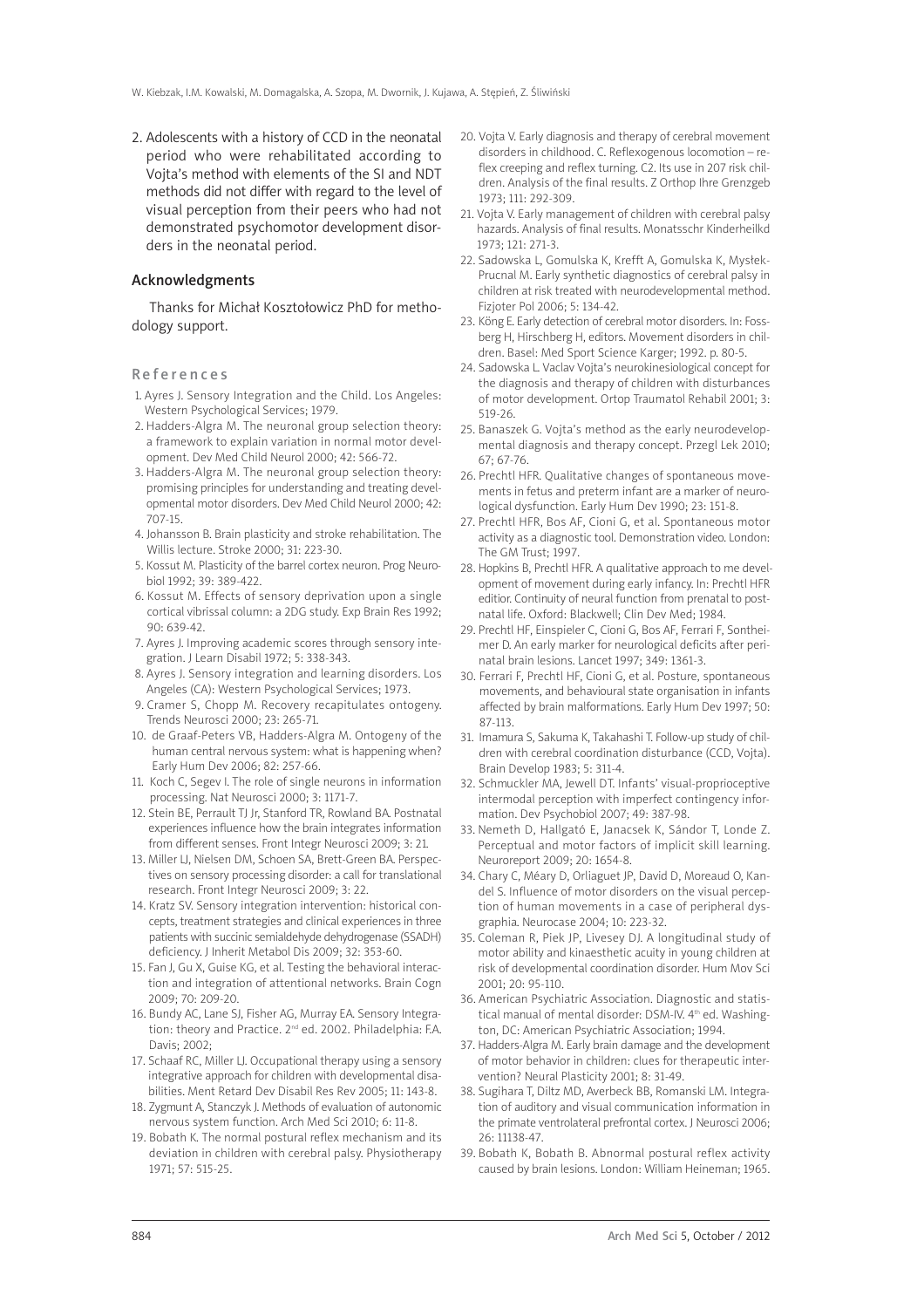2. Adolescents with a history of CCD in the neonatal period who were rehabilitated according to Vojta's method with elements of the SI and NDT methods did not differ with regard to the level of visual perception from their peers who had not demonstrated psychomotor development disorders in the neonatal period.

## Acknowledgments

Thanks for Michał Kosztołowicz PhD for methodology support.

#### References

- 1. Ayres J. Sensory Integration and the Child. Los Angeles: Western Psychological Services; 1979.
- 2. Hadders-Algra M. The neuronal group selection theory: a framework to explain variation in normal motor development. Dev Med Child Neurol 2000; 42: 566-72.
- 3. Hadders-Algra M. The neuronal group selection theory: promising principles for understanding and treating developmental motor disorders. Dev Med Child Neurol 2000; 42: 707-15.
- 4. Johansson B. Brain plasticity and stroke rehabilitation. The Willis lecture. Stroke 2000; 31: 223-30.
- 5. Kossut M. Plasticity of the barrel cortex neuron. Prog Neurobiol 1992; 39: 389-422.
- 6. Kossut M. Effects of sensory deprivation upon a single cortical vibrissal column: a 2DG study. Exp Brain Res 1992; 90: 639-42.
- 7. Ayres J. Improving academic scores through sensory integration. J Learn Disabil 1972; 5: 338-343.
- 8. Ayres J. Sensory integration and learning disorders. Los Angeles (CA): Western Psychological Services; 1973.
- 9. Cramer S, Chopp M. Recovery recapitulates ontogeny. Trends Neurosci 2000; 23: 265-71.
- 10. de Graaf-Peters VB, Hadders-Algra M. Ontogeny of the human central nervous system: what is happening when? Early Hum Dev 2006; 82: 257-66.
- 11. Koch C, Segev I. The role of single neurons in information processing. Nat Neurosci 2000; 3: 1171-7.
- 12. Stein BE, Perrault TJ Jr, Stanford TR, Rowland BA. Postnatal experiences influence how the brain integrates information from different senses. Front Integr Neurosci 2009; 3: 21.
- 13. Miller LJ, Nielsen DM, Schoen SA, Brett-Green BA. Perspectives on sensory processing disorder: a call for translational research. Front Integr Neurosci 2009; 3: 22.
- 14. Kratz SV. Sensory integration intervention: historical concepts, treatment strategies and clinical experiences in three patients with succinic semialdehyde dehydrogenase (SSADH) deficiency. J Inherit Metabol Dis 2009; 32: 353-60.
- 15. Fan J, Gu X, Guise KG, et al. Testing the behavioral interaction and integration of attentional networks. Brain Cogn 2009; 70: 209-20.
- 16. Bundy AC, Lane SJ, Fisher AG, Murray EA. Sensory Integration: theory and Practice. 2<sup>nd</sup> ed. 2002. Philadelphia: F.A. Davis; 2002;
- 17. Schaaf RC, Miller LJ. Occupational therapy using a sensory integrative approach for children with developmental disabilities. Ment Retard Dev Disabil Res Rev 2005; 11: 143-8.
- 18. Zygmunt A, Stanczyk J. Methods of evaluation of autonomic nervous system function. Arch Med Sci 2010; 6: 11-8.
- 19. Bobath K. The normal postural reflex mechanism and its deviation in children with cerebral palsy. Physiotherapy 1971; 57: 515-25.
- 20. Vojta V. Early diagnosis and therapy of cerebral movement disorders in childhood. C. Reflexogenous locomotion – reflex creeping and reflex turning. C2. Its use in 207 risk children. Analysis of the final results. Z Orthop Ihre Grenzgeb 1973; 111: 292-309.
- 21. Vojta V. Early management of children with cerebral palsy hazards. Analysis of final results. Monatsschr Kinderheilkd 1973; 121: 271-3.
- 22. Sadowska L, Gomulska K, Krefft A, Gomulska K, Mysłek-Prucnal M. Early synthetic diagnostics of cerebral palsy in children at risk treated with neurodevelopmental method. Fizjoter Pol 2006; 5: 134-42.
- 23. Köng E. Early detection of cerebral motor disorders. In: Fossberg H, Hirschberg H, editors. Movement disorders in children. Basel: Med Sport Science Karger; 1992. p. 80-5.
- 24. Sadowska L. Vaclav Vojta's neurokinesiological concept for the diagnosis and therapy of children with disturbances of motor development. Ortop Traumatol Rehabil 2001; 3: 519-26.
- 25. Banaszek G. Vojta's method as the early neurodevelopmental diagnosis and therapy concept. Przegl Lek 2010; 67; 67-76.
- 26. Prechtl HFR. Qualitative changes of spontaneous movements in fetus and preterm infant are a marker of neurological dysfunction. Early Hum Dev 1990; 23: 151-8.
- 27. Prechtl HFR, Bos AF, Cioni G, et al. Spontaneous motor activity as a diagnostic tool. Demonstration video. London: The GM Trust; 1997.
- 28. Hopkins B, Prechtl HFR. A qualitative approach to me development of movement during early infancy. In: Prechtl HFR editior. Continuity of neural function from prenatal to postnatal life. Oxford: Blackwell; Clin Dev Med; 1984.
- 29. Prechtl HF, Einspieler C, Cioni G, Bos AF, Ferrari F, Sontheimer D. An early marker for neurological deficits after perinatal brain lesions. Lancet 1997; 349: 1361-3.
- 30. Ferrari F, Prechtl HF, Cioni G, et al. Posture, spontaneous movements, and behavioural state organisation in infants affected by brain malformations. Early Hum Dev 1997; 50: 87-113.
- 31. Imamura S, Sakuma K, Takahashi T. Follow-up study of children with cerebral coordination disturbance (CCD, Vojta). Brain Develop 1983; 5: 311-4.
- 32. Schmuckler MA, Jewell DT. Infants' visual-proprioceptive intermodal perception with imperfect contingency information. Dev Psychobiol 2007; 49: 387-98.
- 33. Nemeth D, Hallgató E, Janacsek K, Sándor T, Londe Z. Perceptual and motor factors of implicit skill learning. Neuroreport 2009; 20: 1654-8.
- 34. Chary C, Méary D, Orliaguet JP, David D, Moreaud O, Kandel S. Influence of motor disorders on the visual perception of human movements in a case of peripheral dysgraphia. Neurocase 2004; 10: 223-32.
- 35. Coleman R, Piek JP, Livesey DJ. A longitudinal study of motor ability and kinaesthetic acuity in young children at risk of developmental coordination disorder. Hum Mov Sci 2001; 20: 95-110.
- 36. American Psychiatric Association. Diagnostic and statistical manual of mental disorder: DSM-IV. 4<sup>th</sup> ed. Washington, DC: American Psychiatric Association; 1994.
- 37. Hadders-Algra M. Early brain damage and the development of motor behavior in children: clues for therapeutic intervention? Neural Plasticity 2001; 8: 31-49.
- 38. Sugihara T, Diltz MD, Averbeck BB, Romanski LM. Integration of auditory and visual communication information in the primate ventrolateral prefrontal cortex. J Neurosci 2006; 26: 11138-47.
- 39. Bobath K, Bobath B. Abnormal postural reflex activity caused by brain lesions. London: William Heineman; 1965.